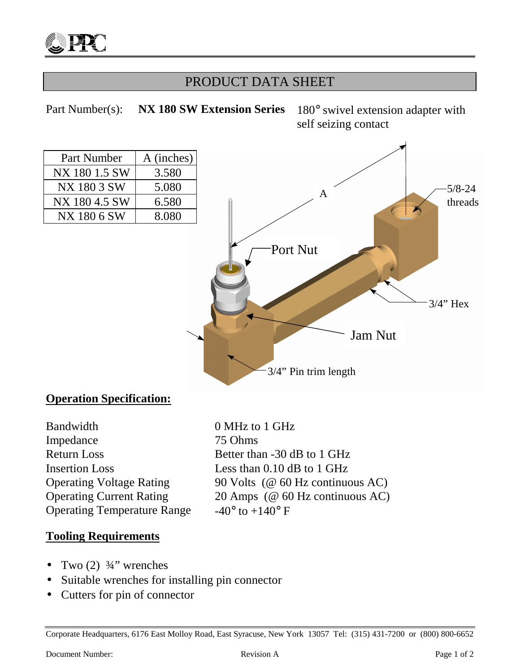

## PRODUCT DATA SHEET

Part Number(s): **NX 180 SW Extension Series** 180° swivel extension adapter with self seizing contact



### **Operation Specification:**

Bandwidth 0 MHz to 1 GHz Impedance 75 Ohms Return Loss Better than -30 dB to 1 GHz Insertion Loss Less than 0.10 dB to 1 GHz Operating Temperature Range  $-40^{\circ}$  to  $+140^{\circ}$  F

Operating Voltage Rating 90 Volts (@ 60 Hz continuous AC) Operating Current Rating 20 Amps (@ 60 Hz continuous AC)

#### **Tooling Requirements**

- Two  $(2)$   $\frac{3}{4}$ " wrenches
- Suitable wrenches for installing pin connector
- Cutters for pin of connector

Corporate Headquarters, 6176 East Molloy Road, East Syracuse, New York 13057 Tel: (315) 431-7200 or (800) 800-6652